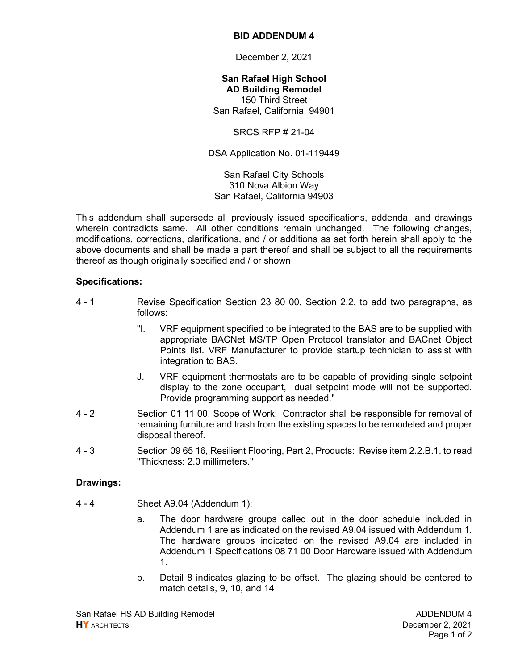## **BID ADDENDUM 4**

December 2, 2021

**San Rafael High School AD Building Remodel**  150 Third Street San Rafael, California 94901

SRCS RFP # 21-04

DSA Application No. 01-119449

San Rafael City Schools 310 Nova Albion Way San Rafael, California 94903

This addendum shall supersede all previously issued specifications, addenda, and drawings wherein contradicts same. All other conditions remain unchanged. The following changes, modifications, corrections, clarifications, and / or additions as set forth herein shall apply to the above documents and shall be made a part thereof and shall be subject to all the requirements thereof as though originally specified and / or shown

## **Specifications:**

- 4 1 Revise Specification Section 23 80 00, Section 2.2, to add two paragraphs, as follows:
	- "I. VRF equipment specified to be integrated to the BAS are to be supplied with appropriate BACNet MS/TP Open Protocol translator and BACnet Object Points list. VRF Manufacturer to provide startup technician to assist with integration to BAS.
	- J. VRF equipment thermostats are to be capable of providing single setpoint display to the zone occupant, dual setpoint mode will not be supported. Provide programming support as needed."
- 4 2 Section 01 11 00, Scope of Work: Contractor shall be responsible for removal of remaining furniture and trash from the existing spaces to be remodeled and proper disposal thereof.
- 4 3 Section 09 65 16, Resilient Flooring, Part 2, Products: Revise item 2.2.B.1. to read "Thickness: 2.0 millimeters."

## **Drawings:**

- 4 4 Sheet A9.04 (Addendum 1):
	- a. The door hardware groups called out in the door schedule included in Addendum 1 are as indicated on the revised A9.04 issued with Addendum 1. The hardware groups indicated on the revised A9.04 are included in Addendum 1 Specifications 08 71 00 Door Hardware issued with Addendum 1.
	- b. Detail 8 indicates glazing to be offset. The glazing should be centered to match details, 9, 10, and 14